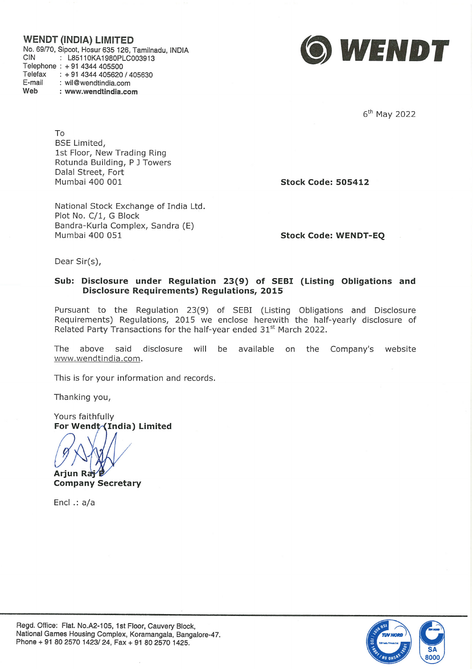## WENDT (INDIA)

No. 69/70, Sipcot, CIN : L85110KA1980PLC003913 Telephone : +91 4344 405500 Telefax : +91 4344 405620 / 405630 E-mail : wil@wendtindia.com : www.wendtindia.com



6<sup>th</sup> May 2022

To BSE Limited, 1st Floor, New Trading Ring Rotunda Building, P <sup>J</sup> Towers Dalal Street, Fort Mumbai 400 001 Stock Code: 505412

National Stock Exchange of India Ltd. Plot No. C/1, G Block Bandra-Kurla Complex, Sandra (E) Mumbai 400 051 Stock Code: WENDT-EQ

Dear Sir(s),

## Sub: Disclosure under Regulation 23(9) of SEBI (Listing Obligations and Disclosure Requirements) Regulations, 2015

Pursuant to the Regulation 23(9) of SEBI (Listing Obligations and Disclosure Requirements) Regulations, 2015 we enclose herewith the half-yearly disclosure of Related Party Transactions for the half-year ended 31<sup>st</sup> March 2022. WENDT (NIOA) LIMITED<br>
No. 4670 Speci-scar cost (18, Turninos, NTA<br>
Charges 1: 1976 064 (1976)<br>
The Maria Cost (1976)<br>
The Maria Cost (1976)<br>
The Maria Cost (1976)<br>
Scaling Scar (1976)<br>
Scaling Scar (1976)<br>
Scaling Scar (1

The above said disclosure will be available on the Company's www.wendtindia.com.

This is for your information and records.

Thanking you,

Yours faithfully For Wendt (India) Limited

Arjun Ray

Company Secretary

Encl .: a/a